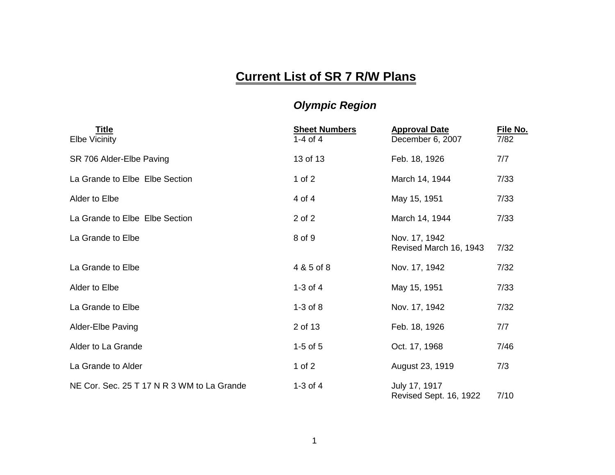## **Current List of SR 7 R/W Plans**

## *Olympic Region*

| <b>Title</b><br><b>Elbe Vicinity</b>       | <b>Sheet Numbers</b><br>1-4 of 4 | <b>Approval Date</b><br>December 6, 2007 | File No.<br>7/82 |
|--------------------------------------------|----------------------------------|------------------------------------------|------------------|
| SR 706 Alder-Elbe Paving                   | 13 of 13                         | Feb. 18, 1926                            | 7/7              |
| La Grande to Elbe Elbe Section             | 1 of $2$                         | March 14, 1944                           | 7/33             |
| Alder to Elbe                              | 4 of 4                           | May 15, 1951                             | 7/33             |
| La Grande to Elbe Elbe Section             | 2 of 2                           | March 14, 1944                           | 7/33             |
| La Grande to Elbe                          | 8 of 9                           | Nov. 17, 1942<br>Revised March 16, 1943  | 7/32             |
| La Grande to Elbe                          | 4 & 5 of 8                       | Nov. 17, 1942                            | 7/32             |
| Alder to Elbe                              | $1-3$ of $4$                     | May 15, 1951                             | 7/33             |
| La Grande to Elbe                          | $1-3$ of $8$                     | Nov. 17, 1942                            | 7/32             |
| <b>Alder-Elbe Paving</b>                   | 2 of 13                          | Feb. 18, 1926                            | 7/7              |
| Alder to La Grande                         | $1-5$ of $5$                     | Oct. 17, 1968                            | 7/46             |
| La Grande to Alder                         | 1 of $2$                         | August 23, 1919                          | 7/3              |
| NE Cor. Sec. 25 T 17 N R 3 WM to La Grande | $1-3$ of $4$                     | July 17, 1917<br>Revised Sept. 16, 1922  | 7/10             |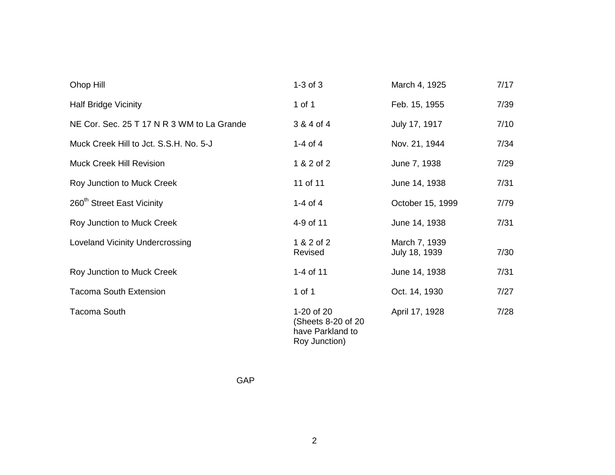| Ohop Hill                                  | $1-3$ of $3$                                                           | March 4, 1925                  | 7/17 |
|--------------------------------------------|------------------------------------------------------------------------|--------------------------------|------|
| <b>Half Bridge Vicinity</b>                | 1 of 1                                                                 | Feb. 15, 1955                  | 7/39 |
| NE Cor. Sec. 25 T 17 N R 3 WM to La Grande | 3 & 4 of 4                                                             | July 17, 1917                  | 7/10 |
| Muck Creek Hill to Jct. S.S.H. No. 5-J     | 1-4 of 4                                                               | Nov. 21, 1944                  | 7/34 |
| <b>Muck Creek Hill Revision</b>            | 1 & 2 of 2                                                             | June 7, 1938                   | 7/29 |
| Roy Junction to Muck Creek                 | 11 of 11                                                               | June 14, 1938                  | 7/31 |
| 260 <sup>th</sup> Street East Vicinity     | 1-4 of 4                                                               | October 15, 1999               | 7/79 |
| Roy Junction to Muck Creek                 | 4-9 of 11                                                              | June 14, 1938                  | 7/31 |
| <b>Loveland Vicinity Undercrossing</b>     | 1 & 2 of 2<br>Revised                                                  | March 7, 1939<br>July 18, 1939 | 7/30 |
| Roy Junction to Muck Creek                 | 1-4 of 11                                                              | June 14, 1938                  | 7/31 |
| <b>Tacoma South Extension</b>              | 1 of 1                                                                 | Oct. 14, 1930                  | 7/27 |
| <b>Tacoma South</b>                        | 1-20 of 20<br>(Sheets 8-20 of 20)<br>have Parkland to<br>Roy Junction) | April 17, 1928                 | 7/28 |

GAP